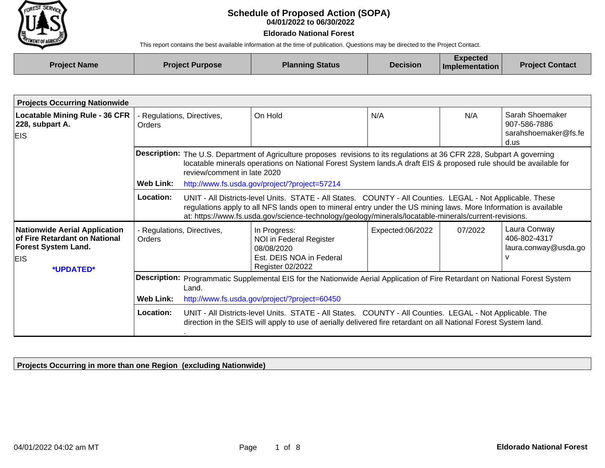

## **04/01/2022 to 06/30/2022 Schedule of Proposed Action (SOPA)**

## **Eldorado National Forest**

This report contains the best available information at the time of publication. Questions may be directed to the Project Contact.

| <b>Project Name</b> | <b>Project Purpose</b> | <b>Planning Status</b> | <b>Decision</b> | <b>Expected</b><br><b>Implementation</b> | <b>Project Contact</b> |
|---------------------|------------------------|------------------------|-----------------|------------------------------------------|------------------------|
|                     |                        |                        |                 |                                          |                        |

| <b>Projects Occurring Nationwide</b>                                                                |                                                                                                                                       |                                                                                                                                                                                                                                                                                                                               |                                                                                                                                                                                                                                                                                                                                         |                  |         |                                                                 |  |  |  |
|-----------------------------------------------------------------------------------------------------|---------------------------------------------------------------------------------------------------------------------------------------|-------------------------------------------------------------------------------------------------------------------------------------------------------------------------------------------------------------------------------------------------------------------------------------------------------------------------------|-----------------------------------------------------------------------------------------------------------------------------------------------------------------------------------------------------------------------------------------------------------------------------------------------------------------------------------------|------------------|---------|-----------------------------------------------------------------|--|--|--|
| <b>Locatable Mining Rule - 36 CFR</b><br>228, subpart A.<br><b>EIS</b>                              | - Regulations, Directives,<br><b>Orders</b>                                                                                           |                                                                                                                                                                                                                                                                                                                               | On Hold                                                                                                                                                                                                                                                                                                                                 | N/A              | N/A     | Sarah Shoemaker<br>907-586-7886<br>sarahshoemaker@fs.fe<br>d.us |  |  |  |
|                                                                                                     | <b>Web Link:</b>                                                                                                                      | Description: The U.S. Department of Agriculture proposes revisions to its regulations at 36 CFR 228, Subpart A governing<br>locatable minerals operations on National Forest System lands.A draft EIS & proposed rule should be available for<br>review/comment in late 2020<br>http://www.fs.usda.gov/project/?project=57214 |                                                                                                                                                                                                                                                                                                                                         |                  |         |                                                                 |  |  |  |
|                                                                                                     | Location:                                                                                                                             |                                                                                                                                                                                                                                                                                                                               | UNIT - All Districts-level Units. STATE - All States. COUNTY - All Counties. LEGAL - Not Applicable. These<br>regulations apply to all NFS lands open to mineral entry under the US mining laws. More Information is available<br>at: https://www.fs.usda.gov/science-technology/geology/minerals/locatable-minerals/current-revisions. |                  |         |                                                                 |  |  |  |
| <b>Nationwide Aerial Application</b><br>of Fire Retardant on National<br><b>Forest System Land.</b> | - Regulations, Directives,<br>Orders                                                                                                  |                                                                                                                                                                                                                                                                                                                               | In Progress:<br>NOI in Federal Register<br>08/08/2020                                                                                                                                                                                                                                                                                   | Expected:06/2022 | 07/2022 | Laura Conway<br>406-802-4317<br>laura.conway@usda.go            |  |  |  |
| <b>EIS</b><br>*UPDATED*                                                                             |                                                                                                                                       |                                                                                                                                                                                                                                                                                                                               | Est. DEIS NOA in Federal<br>Register 02/2022                                                                                                                                                                                                                                                                                            |                  |         | v                                                               |  |  |  |
|                                                                                                     | Description: Programmatic Supplemental EIS for the Nationwide Aerial Application of Fire Retardant on National Forest System<br>Land. |                                                                                                                                                                                                                                                                                                                               |                                                                                                                                                                                                                                                                                                                                         |                  |         |                                                                 |  |  |  |
|                                                                                                     | <b>Web Link:</b>                                                                                                                      | http://www.fs.usda.gov/project/?project=60450                                                                                                                                                                                                                                                                                 |                                                                                                                                                                                                                                                                                                                                         |                  |         |                                                                 |  |  |  |
|                                                                                                     | Location:                                                                                                                             |                                                                                                                                                                                                                                                                                                                               | UNIT - All Districts-level Units. STATE - All States. COUNTY - All Counties. LEGAL - Not Applicable. The<br>direction in the SEIS will apply to use of aerially delivered fire retardant on all National Forest System land.                                                                                                            |                  |         |                                                                 |  |  |  |

**Projects Occurring in more than one Region (excluding Nationwide)**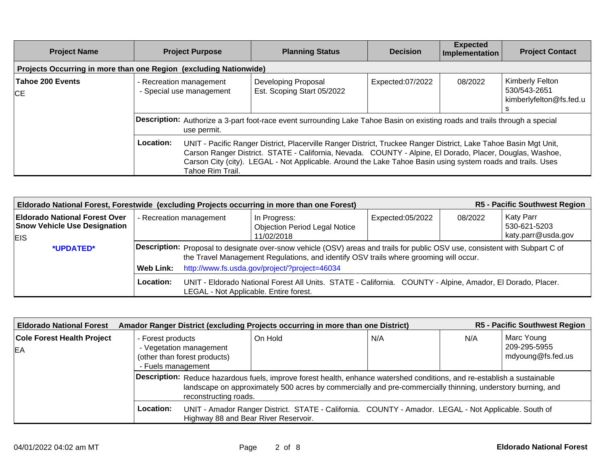| <b>Project Name</b>                                               | <b>Project Purpose</b>                                                                                                                            | <b>Planning Status</b>                                                                                                                                                                                                                                                                                                                      | <b>Decision</b>  | <b>Expected</b><br>Implementation | <b>Project Contact</b>                                     |  |  |  |
|-------------------------------------------------------------------|---------------------------------------------------------------------------------------------------------------------------------------------------|---------------------------------------------------------------------------------------------------------------------------------------------------------------------------------------------------------------------------------------------------------------------------------------------------------------------------------------------|------------------|-----------------------------------|------------------------------------------------------------|--|--|--|
| Projects Occurring in more than one Region (excluding Nationwide) |                                                                                                                                                   |                                                                                                                                                                                                                                                                                                                                             |                  |                                   |                                                            |  |  |  |
| Tahoe 200 Events<br>ICE.                                          | - Recreation management<br>- Special use management                                                                                               | Developing Proposal<br>Est. Scoping Start 05/2022                                                                                                                                                                                                                                                                                           | Expected:07/2022 | 08/2022                           | Kimberly Felton<br>530/543-2651<br>kimberlyfelton@fs.fed.u |  |  |  |
|                                                                   | <b>Description:</b> Authorize a 3-part foot-race event surrounding Lake Tahoe Basin on existing roads and trails through a special<br>use permit. |                                                                                                                                                                                                                                                                                                                                             |                  |                                   |                                                            |  |  |  |
|                                                                   | Location:<br>Tahoe Rim Trail.                                                                                                                     | UNIT - Pacific Ranger District, Placerville Ranger District, Truckee Ranger District, Lake Tahoe Basin Mgt Unit,<br>Carson Ranger District. STATE - California, Nevada. COUNTY - Alpine, El Dorado, Placer, Douglas, Washoe,<br>Carson City (city). LEGAL - Not Applicable. Around the Lake Tahoe Basin using system roads and trails. Uses |                  |                                   |                                                            |  |  |  |

| R5 - Pacific Southwest Region<br>Eldorado National Forest, Forestwide (excluding Projects occurring in more than one Forest) |                         |                                                                                                                                                                                                                       |                                                                                                            |                  |         |                                  |  |  |  |
|------------------------------------------------------------------------------------------------------------------------------|-------------------------|-----------------------------------------------------------------------------------------------------------------------------------------------------------------------------------------------------------------------|------------------------------------------------------------------------------------------------------------|------------------|---------|----------------------------------|--|--|--|
| <b>Eldorado National Forest Over</b><br><b>Snow Vehicle Use Designation</b>                                                  | - Recreation management |                                                                                                                                                                                                                       | In Progress:<br><b>Objection Period Legal Notice</b>                                                       | Expected:05/2022 | 08/2022 | <b>Katy Parr</b><br>530-621-5203 |  |  |  |
| <b>EIS</b>                                                                                                                   |                         |                                                                                                                                                                                                                       | 11/02/2018                                                                                                 |                  |         | katy.parr@usda.gov               |  |  |  |
| *UPDATED*                                                                                                                    |                         | Description: Proposal to designate over-snow vehicle (OSV) areas and trails for public OSV use, consistent with Subpart C of<br>the Travel Management Regulations, and identify OSV trails where grooming will occur. |                                                                                                            |                  |         |                                  |  |  |  |
|                                                                                                                              | Web Link:               | http://www.fs.usda.gov/project/?project=46034                                                                                                                                                                         |                                                                                                            |                  |         |                                  |  |  |  |
|                                                                                                                              | Location:               | LEGAL - Not Applicable. Entire forest.                                                                                                                                                                                | UNIT - Eldorado National Forest All Units. STATE - California. COUNTY - Alpine, Amador, El Dorado, Placer. |                  |         |                                  |  |  |  |

| <b>Eldorado National Forest</b>                |                                                                                                    | Amador Ranger District (excluding Projects occurring in more than one District)                                                                                                                                                         |     |     |                                                 |  |  |  |
|------------------------------------------------|----------------------------------------------------------------------------------------------------|-----------------------------------------------------------------------------------------------------------------------------------------------------------------------------------------------------------------------------------------|-----|-----|-------------------------------------------------|--|--|--|
| <b>Cole Forest Health Project</b><br><b>EA</b> | - Forest products<br>- Vegetation management<br>(other than forest products)<br>- Fuels management | On Hold                                                                                                                                                                                                                                 | N/A | N/A | Marc Young<br>209-295-5955<br>mdyoung@fs.fed.us |  |  |  |
|                                                | reconstructing roads.                                                                              | Description: Reduce hazardous fuels, improve forest health, enhance watershed conditions, and re-establish a sustainable<br>landscape on approximately 500 acres by commercially and pre-commercially thinning, understory burning, and |     |     |                                                 |  |  |  |
|                                                | Location:                                                                                          | UNIT - Amador Ranger District. STATE - California. COUNTY - Amador. LEGAL - Not Applicable. South of<br>Highway 88 and Bear River Reservoir.                                                                                            |     |     |                                                 |  |  |  |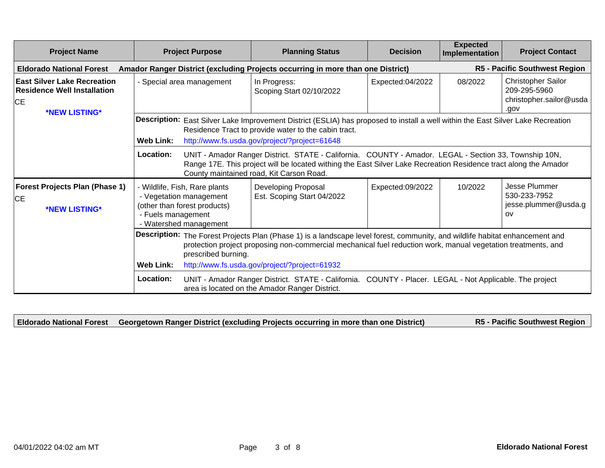| <b>Project Name</b>                                                                                                                                                                                                                                                  | <b>Project Purpose</b>                                                                                                                   | <b>Planning Status</b>                                                                                                                                                                                                                                                | <b>Decision</b>  | <b>Expected</b><br>Implementation | <b>Project Contact</b>                                                       |  |  |
|----------------------------------------------------------------------------------------------------------------------------------------------------------------------------------------------------------------------------------------------------------------------|------------------------------------------------------------------------------------------------------------------------------------------|-----------------------------------------------------------------------------------------------------------------------------------------------------------------------------------------------------------------------------------------------------------------------|------------------|-----------------------------------|------------------------------------------------------------------------------|--|--|
| <b>Eldorado National Forest</b>                                                                                                                                                                                                                                      |                                                                                                                                          | Amador Ranger District (excluding Projects occurring in more than one District)                                                                                                                                                                                       |                  |                                   | <b>R5 - Pacific Southwest Region</b>                                         |  |  |
| <b>East Silver Lake Recreation</b><br><b>Residence Well Installation</b><br>CE                                                                                                                                                                                       | - Special area management                                                                                                                | In Progress:<br>Scoping Start 02/10/2022                                                                                                                                                                                                                              | Expected:04/2022 | 08/2022                           | <b>Christopher Sailor</b><br>209-295-5960<br>christopher.sailor@usda<br>.gov |  |  |
| *NEW LISTING*                                                                                                                                                                                                                                                        | Web Link:                                                                                                                                | Description: East Silver Lake Improvement District (ESLIA) has proposed to install a well within the East Silver Lake Recreation<br>Residence Tract to provide water to the cabin tract.<br>http://www.fs.usda.gov/project/?project=61648                             |                  |                                   |                                                                              |  |  |
|                                                                                                                                                                                                                                                                      | Location:                                                                                                                                | UNIT - Amador Ranger District. STATE - California. COUNTY - Amador. LEGAL - Section 33, Township 10N,<br>Range 17E. This project will be located withing the East Silver Lake Recreation Residence tract along the Amador<br>County maintained road, Kit Carson Road. |                  |                                   |                                                                              |  |  |
| <b>Forest Projects Plan (Phase 1)</b><br>CE<br>*NEW LISTING*                                                                                                                                                                                                         | - Wildlife, Fish, Rare plants<br>- Vegetation management<br>(other than forest products)<br>- Fuels management<br>- Watershed management | Developing Proposal<br>Est. Scoping Start 04/2022                                                                                                                                                                                                                     | Expected:09/2022 | 10/2022                           | Jesse Plummer<br>530-233-7952<br>jesse.plummer@usda.g<br><b>OV</b>           |  |  |
| Description: The Forest Projects Plan (Phase 1) is a landscape level forest, community, and wildlife habitat enhancement and<br>protection project proposing non-commercial mechanical fuel reduction work, manual vegetation treatments, and<br>prescribed burning. |                                                                                                                                          |                                                                                                                                                                                                                                                                       |                  |                                   |                                                                              |  |  |
|                                                                                                                                                                                                                                                                      | Web Link:                                                                                                                                | http://www.fs.usda.gov/project/?project=61932                                                                                                                                                                                                                         |                  |                                   |                                                                              |  |  |
|                                                                                                                                                                                                                                                                      | Location:                                                                                                                                | UNIT - Amador Ranger District. STATE - California. COUNTY - Placer. LEGAL - Not Applicable. The project<br>area is located on the Amador Ranger District.                                                                                                             |                  |                                   |                                                                              |  |  |

**Eldorado National Forest Georgetown Ranger District (excluding Projects occurring in more than one District) R5 - Pacific Southwest Region**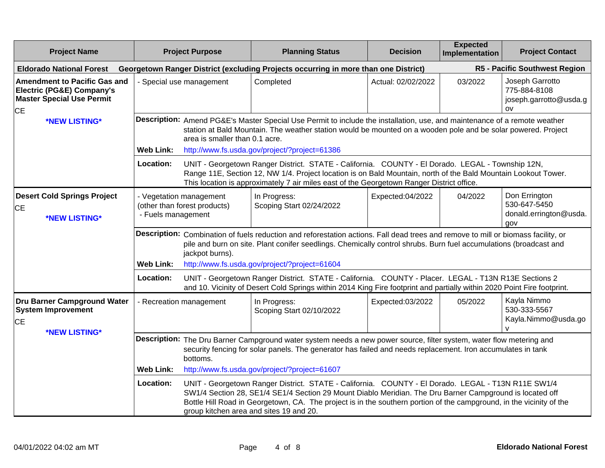| <b>Project Name</b>                                                                                                          | <b>Project Purpose</b>        |                                                                                                                                                                                                                                                 | <b>Planning Status</b>                                                                                                                                                                                                                                                                                                                                                                                                             | <b>Decision</b>    | <b>Expected</b><br>Implementation | <b>Project Contact</b>                                                      |
|------------------------------------------------------------------------------------------------------------------------------|-------------------------------|-------------------------------------------------------------------------------------------------------------------------------------------------------------------------------------------------------------------------------------------------|------------------------------------------------------------------------------------------------------------------------------------------------------------------------------------------------------------------------------------------------------------------------------------------------------------------------------------------------------------------------------------------------------------------------------------|--------------------|-----------------------------------|-----------------------------------------------------------------------------|
| <b>Eldorado National Forest</b>                                                                                              |                               |                                                                                                                                                                                                                                                 | Georgetown Ranger District (excluding Projects occurring in more than one District)                                                                                                                                                                                                                                                                                                                                                |                    |                                   | R5 - Pacific Southwest Region                                               |
| <b>Amendment to Pacific Gas and</b><br><b>Electric (PG&amp;E) Company's</b><br><b>Master Special Use Permit</b><br><b>CE</b> | - Special use management      |                                                                                                                                                                                                                                                 | Completed                                                                                                                                                                                                                                                                                                                                                                                                                          | Actual: 02/02/2022 | 03/2022                           | Joseph Garrotto<br>775-884-8108<br>joseph.garrotto@usda.g<br>O <sub>V</sub> |
| *NEW LISTING*                                                                                                                | <b>Web Link:</b>              | area is smaller than 0.1 acre.                                                                                                                                                                                                                  | Description: Amend PG&E's Master Special Use Permit to include the installation, use, and maintenance of a remote weather<br>station at Bald Mountain. The weather station would be mounted on a wooden pole and be solar powered. Project<br>http://www.fs.usda.gov/project/?project=61386                                                                                                                                        |                    |                                   |                                                                             |
|                                                                                                                              | Location:                     |                                                                                                                                                                                                                                                 | UNIT - Georgetown Ranger District. STATE - California. COUNTY - El Dorado. LEGAL - Township 12N,<br>Range 11E, Section 12, NW 1/4. Project location is on Bald Mountain, north of the Bald Mountain Lookout Tower.<br>This location is approximately 7 air miles east of the Georgetown Ranger District office.                                                                                                                    |                    |                                   |                                                                             |
| <b>Desert Cold Springs Project</b><br>CE<br>*NEW LISTING*                                                                    | - Fuels management            | - Vegetation management<br>(other than forest products)                                                                                                                                                                                         | In Progress:<br>Scoping Start 02/24/2022                                                                                                                                                                                                                                                                                                                                                                                           | Expected:04/2022   | 04/2022                           | Don Errington<br>530-647-5450<br>donald.errington@usda.<br>gov              |
|                                                                                                                              |                               | jackpot burns).                                                                                                                                                                                                                                 | Description: Combination of fuels reduction and reforestation actions. Fall dead trees and remove to mill or biomass facility, or<br>pile and burn on site. Plant conifer seedlings. Chemically control shrubs. Burn fuel accumulations (broadcast and                                                                                                                                                                             |                    |                                   |                                                                             |
|                                                                                                                              | <b>Web Link:</b><br>Location: |                                                                                                                                                                                                                                                 | http://www.fs.usda.gov/project/?project=61604<br>UNIT - Georgetown Ranger District. STATE - California. COUNTY - Placer. LEGAL - T13N R13E Sections 2<br>and 10. Vicinity of Desert Cold Springs within 2014 King Fire footprint and partially within 2020 Point Fire footprint.                                                                                                                                                   |                    |                                   |                                                                             |
| Dru Barner Campground Water<br><b>System Improvement</b><br><b>CE</b><br>*NEW LISTING*                                       |                               | - Recreation management                                                                                                                                                                                                                         | In Progress:<br>Scoping Start 02/10/2022                                                                                                                                                                                                                                                                                                                                                                                           | Expected:03/2022   | 05/2022                           | Kayla Nimmo<br>530-333-5567<br>Kayla.Nimmo@usda.go                          |
|                                                                                                                              |                               | Description: The Dru Barner Campground water system needs a new power source, filter system, water flow metering and<br>security fencing for solar panels. The generator has failed and needs replacement. Iron accumulates in tank<br>bottoms. |                                                                                                                                                                                                                                                                                                                                                                                                                                    |                    |                                   |                                                                             |
|                                                                                                                              | <b>Web Link:</b><br>Location: |                                                                                                                                                                                                                                                 | http://www.fs.usda.gov/project/?project=61607<br>UNIT - Georgetown Ranger District. STATE - California. COUNTY - El Dorado. LEGAL - T13N R11E SW1/4<br>SW1/4 Section 28, SE1/4 SE1/4 Section 29 Mount Diablo Meridian. The Dru Barner Campground is located off<br>Bottle Hill Road in Georgetown, CA. The project is in the southern portion of the campground, in the vicinity of the<br>group kitchen area and sites 19 and 20. |                    |                                   |                                                                             |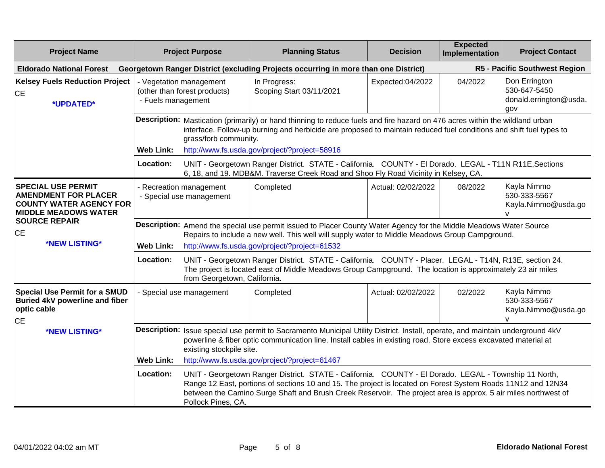| <b>Project Name</b>                                                                                                       |                    | <b>Project Purpose</b>                                                                                                                                                                                                                                                                                                                                        | <b>Planning Status</b>                                                                                                                                                                                                                              | <b>Decision</b>    | <b>Expected</b><br>Implementation | <b>Project Contact</b>                                         |  |
|---------------------------------------------------------------------------------------------------------------------------|--------------------|---------------------------------------------------------------------------------------------------------------------------------------------------------------------------------------------------------------------------------------------------------------------------------------------------------------------------------------------------------------|-----------------------------------------------------------------------------------------------------------------------------------------------------------------------------------------------------------------------------------------------------|--------------------|-----------------------------------|----------------------------------------------------------------|--|
| <b>Eldorado National Forest</b>                                                                                           |                    |                                                                                                                                                                                                                                                                                                                                                               | Georgetown Ranger District (excluding Projects occurring in more than one District)                                                                                                                                                                 |                    |                                   | R5 - Pacific Southwest Region                                  |  |
| <b>Kelsey Fuels Reduction Project</b><br><b>CE</b><br>*UPDATED*                                                           | - Fuels management | - Vegetation management<br>(other than forest products)                                                                                                                                                                                                                                                                                                       | In Progress:<br>Scoping Start 03/11/2021                                                                                                                                                                                                            | Expected:04/2022   | 04/2022                           | Don Errington<br>530-647-5450<br>donald.errington@usda.<br>gov |  |
|                                                                                                                           |                    | grass/forb community.                                                                                                                                                                                                                                                                                                                                         | Description: Mastication (primarily) or hand thinning to reduce fuels and fire hazard on 476 acres within the wildland urban<br>interface. Follow-up burning and herbicide are proposed to maintain reduced fuel conditions and shift fuel types to |                    |                                   |                                                                |  |
|                                                                                                                           | <b>Web Link:</b>   |                                                                                                                                                                                                                                                                                                                                                               | http://www.fs.usda.gov/project/?project=58916                                                                                                                                                                                                       |                    |                                   |                                                                |  |
|                                                                                                                           | Location:          |                                                                                                                                                                                                                                                                                                                                                               | UNIT - Georgetown Ranger District. STATE - California. COUNTY - El Dorado. LEGAL - T11N R11E, Sections<br>6, 18, and 19. MDB&M. Traverse Creek Road and Shoo Fly Road Vicinity in Kelsey, CA.                                                       |                    |                                   |                                                                |  |
| <b>SPECIAL USE PERMIT</b><br><b>AMENDMENT FOR PLACER</b><br><b>COUNTY WATER AGENCY FOR</b><br><b>MIDDLE MEADOWS WATER</b> |                    | - Recreation management<br>- Special use management                                                                                                                                                                                                                                                                                                           | Completed                                                                                                                                                                                                                                           | Actual: 02/02/2022 | 08/2022                           | Kayla Nimmo<br>530-333-5567<br>Kayla.Nimmo@usda.go             |  |
| <b>SOURCE REPAIR</b><br><b>CE</b>                                                                                         |                    | Description: Amend the special use permit issued to Placer County Water Agency for the Middle Meadows Water Source<br>Repairs to include a new well. This well will supply water to Middle Meadows Group Campground.                                                                                                                                          |                                                                                                                                                                                                                                                     |                    |                                   |                                                                |  |
| *NEW LISTING*                                                                                                             | <b>Web Link:</b>   | http://www.fs.usda.gov/project/?project=61532                                                                                                                                                                                                                                                                                                                 |                                                                                                                                                                                                                                                     |                    |                                   |                                                                |  |
|                                                                                                                           | Location:          | from Georgetown, California.                                                                                                                                                                                                                                                                                                                                  | UNIT - Georgetown Ranger District. STATE - California. COUNTY - Placer. LEGAL - T14N, R13E, section 24.<br>The project is located east of Middle Meadows Group Campground. The location is approximately 23 air miles                               |                    |                                   |                                                                |  |
| <b>Special Use Permit for a SMUD</b><br>Buried 4kV powerline and fiber<br>optic cable<br>IСE                              |                    | - Special use management                                                                                                                                                                                                                                                                                                                                      | Completed                                                                                                                                                                                                                                           | Actual: 02/02/2022 | 02/2022                           | Kayla Nimmo<br>530-333-5567<br>Kayla.Nimmo@usda.go             |  |
| *NEW LISTING*                                                                                                             |                    | Description: Issue special use permit to Sacramento Municipal Utility District. Install, operate, and maintain underground 4kV<br>powerline & fiber optic communication line. Install cables in existing road. Store excess excavated material at<br>existing stockpile site.                                                                                 |                                                                                                                                                                                                                                                     |                    |                                   |                                                                |  |
|                                                                                                                           | <b>Web Link:</b>   |                                                                                                                                                                                                                                                                                                                                                               | http://www.fs.usda.gov/project/?project=61467                                                                                                                                                                                                       |                    |                                   |                                                                |  |
|                                                                                                                           | Location:          | UNIT - Georgetown Ranger District. STATE - California. COUNTY - El Dorado. LEGAL - Township 11 North,<br>Range 12 East, portions of sections 10 and 15. The project is located on Forest System Roads 11N12 and 12N34<br>between the Camino Surge Shaft and Brush Creek Reservoir. The project area is approx. 5 air miles northwest of<br>Pollock Pines, CA. |                                                                                                                                                                                                                                                     |                    |                                   |                                                                |  |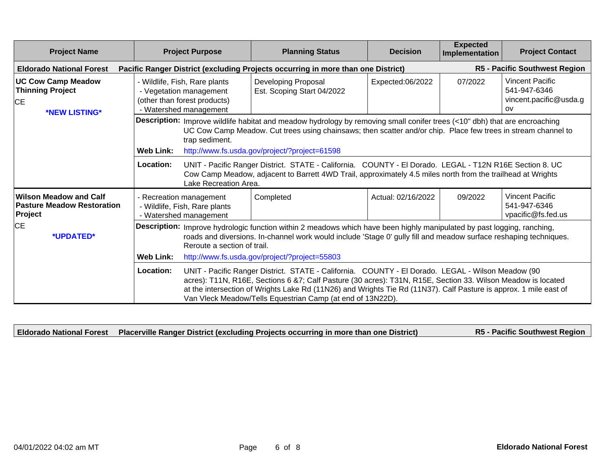| <b>Project Name</b>                                                           | <b>Project Purpose</b>                                                                                                                                                                                                                                                      | <b>Planning Status</b>                                                                                                                                                                                                                                                                                                                                                                                                                                                    | <b>Decision</b>    | <b>Expected</b><br>Implementation | <b>Project Contact</b>                                                  |  |  |
|-------------------------------------------------------------------------------|-----------------------------------------------------------------------------------------------------------------------------------------------------------------------------------------------------------------------------------------------------------------------------|---------------------------------------------------------------------------------------------------------------------------------------------------------------------------------------------------------------------------------------------------------------------------------------------------------------------------------------------------------------------------------------------------------------------------------------------------------------------------|--------------------|-----------------------------------|-------------------------------------------------------------------------|--|--|
| <b>Eldorado National Forest</b>                                               |                                                                                                                                                                                                                                                                             | Pacific Ranger District (excluding Projects occurring in more than one District)                                                                                                                                                                                                                                                                                                                                                                                          |                    |                                   | <b>R5 - Pacific Southwest Region</b>                                    |  |  |
| <b>UC Cow Camp Meadow</b><br><b>Thinning Project</b><br>CE<br>*NEW LISTING*   | - Wildlife, Fish, Rare plants<br>- Vegetation management<br>(other than forest products)<br>- Watershed management                                                                                                                                                          | Developing Proposal<br>Est. Scoping Start 04/2022                                                                                                                                                                                                                                                                                                                                                                                                                         | Expected:06/2022   | 07/2022                           | <b>Vincent Pacific</b><br>541-947-6346<br>vincent.pacific@usda.g<br>OV. |  |  |
|                                                                               | trap sediment.                                                                                                                                                                                                                                                              | Description: Improve wildlife habitat and meadow hydrology by removing small conifer trees (<10" dbh) that are encroaching<br>UC Cow Camp Meadow. Cut trees using chainsaws; then scatter and/or chip. Place few trees in stream channel to                                                                                                                                                                                                                               |                    |                                   |                                                                         |  |  |
|                                                                               | <b>Web Link:</b><br>Location:<br>Lake Recreation Area.                                                                                                                                                                                                                      | http://www.fs.usda.gov/project/?project=61598<br>UNIT - Pacific Ranger District. STATE - California. COUNTY - El Dorado. LEGAL - T12N R16E Section 8. UC<br>Cow Camp Meadow, adjacent to Barrett 4WD Trail, approximately 4.5 miles north from the trailhead at Wrights                                                                                                                                                                                                   |                    |                                   |                                                                         |  |  |
| <b>Wilson Meadow and Calf</b><br><b>Pasture Meadow Restoration</b><br>Project | - Recreation management<br>- Wildlife, Fish, Rare plants<br>- Watershed management                                                                                                                                                                                          | Completed                                                                                                                                                                                                                                                                                                                                                                                                                                                                 | Actual: 02/16/2022 | 09/2022                           | <b>Vincent Pacific</b><br>541-947-6346<br>vpacific@fs.fed.us            |  |  |
| CE<br>*UPDATED*                                                               | Description: Improve hydrologic function within 2 meadows which have been highly manipulated by past logging, ranching,<br>roads and diversions. In-channel work would include 'Stage 0' gully fill and meadow surface reshaping techniques.<br>Reroute a section of trail. |                                                                                                                                                                                                                                                                                                                                                                                                                                                                           |                    |                                   |                                                                         |  |  |
|                                                                               | Location:                                                                                                                                                                                                                                                                   | <b>Web Link:</b><br>http://www.fs.usda.gov/project/?project=55803<br>UNIT - Pacific Ranger District. STATE - California. COUNTY - El Dorado. LEGAL - Wilson Meadow (90<br>acres): T11N, R16E, Sections 6 &7; Calf Pasture (30 acres): T31N, R15E, Section 33. Wilson Meadow is located<br>at the intersection of Wrights Lake Rd (11N26) and Wrights Tie Rd (11N37). Calf Pasture is approx. 1 mile east of<br>Van Vleck Meadow/Tells Equestrian Camp (at end of 13N22D). |                    |                                   |                                                                         |  |  |

|  | <b>Eldorado National Forest</b> Placerville Ranger District (excluding Projects occurring in more than one District) | R5 - Pacific Southwest Region |
|--|----------------------------------------------------------------------------------------------------------------------|-------------------------------|
|--|----------------------------------------------------------------------------------------------------------------------|-------------------------------|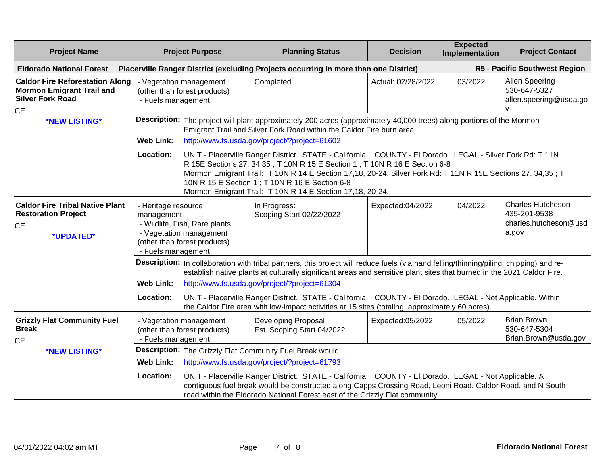| <b>Project Name</b>                                                                                                |                                                                               | <b>Project Purpose</b>                                                                   | <b>Planning Status</b>                                                                                                                                                                                                                                                                                                                                                                                                 | <b>Decision</b>    | <b>Expected</b><br>Implementation | <b>Project Contact</b>                                                     |
|--------------------------------------------------------------------------------------------------------------------|-------------------------------------------------------------------------------|------------------------------------------------------------------------------------------|------------------------------------------------------------------------------------------------------------------------------------------------------------------------------------------------------------------------------------------------------------------------------------------------------------------------------------------------------------------------------------------------------------------------|--------------------|-----------------------------------|----------------------------------------------------------------------------|
| <b>Eldorado National Forest</b>                                                                                    |                                                                               |                                                                                          | Placerville Ranger District (excluding Projects occurring in more than one District)                                                                                                                                                                                                                                                                                                                                   |                    |                                   | R5 - Pacific Southwest Region                                              |
| <b>Caldor Fire Reforestation Along</b><br><b>Mormon Emigrant Trail and</b><br><b>Silver Fork Road</b><br><b>CE</b> | - Fuels management                                                            | - Vegetation management<br>(other than forest products)                                  | Completed                                                                                                                                                                                                                                                                                                                                                                                                              | Actual: 02/28/2022 | 03/2022                           | <b>Allen Speering</b><br>530-647-5327<br>allen.speering@usda.go            |
| *NEW LISTING*                                                                                                      | <b>Web Link:</b>                                                              |                                                                                          | Description: The project will plant approximately 200 acres (approximately 40,000 trees) along portions of the Mormon<br>Emigrant Trail and Silver Fork Road within the Caldor Fire burn area.<br>http://www.fs.usda.gov/project/?project=61602                                                                                                                                                                        |                    |                                   |                                                                            |
|                                                                                                                    | Location:                                                                     |                                                                                          | UNIT - Placerville Ranger District. STATE - California. COUNTY - El Dorado. LEGAL - Silver Fork Rd: T 11N<br>R 15E Sections 27, 34,35; T 10N R 15 E Section 1; T 10N R 16 E Section 6-8<br>Mormon Emigrant Trail: T 10N R 14 E Section 17,18, 20-24. Silver Fork Rd: T 11N R 15E Sections 27, 34,35; T<br>10N R 15 E Section 1 ; T 10N R 16 E Section 6-8<br>Mormon Emigrant Trail: T 10N R 14 E Section 17,18, 20-24. |                    |                                   |                                                                            |
| <b>Caldor Fire Tribal Native Plant</b><br><b>Restoration Project</b><br><b>CE</b><br>*UPDATED*                     | - Heritage resource<br>management<br>- Fuels management                       | - Wildlife, Fish, Rare plants<br>- Vegetation management<br>(other than forest products) | In Progress:<br>Scoping Start 02/22/2022                                                                                                                                                                                                                                                                                                                                                                               | Expected:04/2022   | 04/2022                           | <b>Charles Hutcheson</b><br>435-201-9538<br>charles.hutcheson@usd<br>a.gov |
|                                                                                                                    | <b>Web Link:</b>                                                              |                                                                                          | Description: In collaboration with tribal partners, this project will reduce fuels (via hand felling/thinning/piling, chipping) and re-<br>establish native plants at culturally significant areas and sensitive plant sites that burned in the 2021 Caldor Fire.<br>http://www.fs.usda.gov/project/?project=61304                                                                                                     |                    |                                   |                                                                            |
|                                                                                                                    | Location:                                                                     |                                                                                          | UNIT - Placerville Ranger District. STATE - California. COUNTY - El Dorado. LEGAL - Not Applicable. Within<br>the Caldor Fire area with low-impact activities at 15 sites (totaling approximately 60 acres).                                                                                                                                                                                                           |                    |                                   |                                                                            |
| <b>Grizzly Flat Community Fuel</b><br><b>Break</b><br><b>CE</b>                                                    | - Vegetation management<br>(other than forest products)<br>- Fuels management |                                                                                          | <b>Developing Proposal</b><br>Est. Scoping Start 04/2022                                                                                                                                                                                                                                                                                                                                                               | Expected:05/2022   | 05/2022                           | <b>Brian Brown</b><br>530-647-5304<br>Brian.Brown@usda.gov                 |
| *NEW LISTING*                                                                                                      |                                                                               | Description: The Grizzly Flat Community Fuel Break would                                 |                                                                                                                                                                                                                                                                                                                                                                                                                        |                    |                                   |                                                                            |
|                                                                                                                    | <b>Web Link:</b>                                                              |                                                                                          | http://www.fs.usda.gov/project/?project=61793                                                                                                                                                                                                                                                                                                                                                                          |                    |                                   |                                                                            |
|                                                                                                                    | Location:                                                                     |                                                                                          | UNIT - Placerville Ranger District. STATE - California. COUNTY - El Dorado. LEGAL - Not Applicable. A<br>contiguous fuel break would be constructed along Capps Crossing Road, Leoni Road, Caldor Road, and N South<br>road within the Eldorado National Forest east of the Grizzly Flat community.                                                                                                                    |                    |                                   |                                                                            |